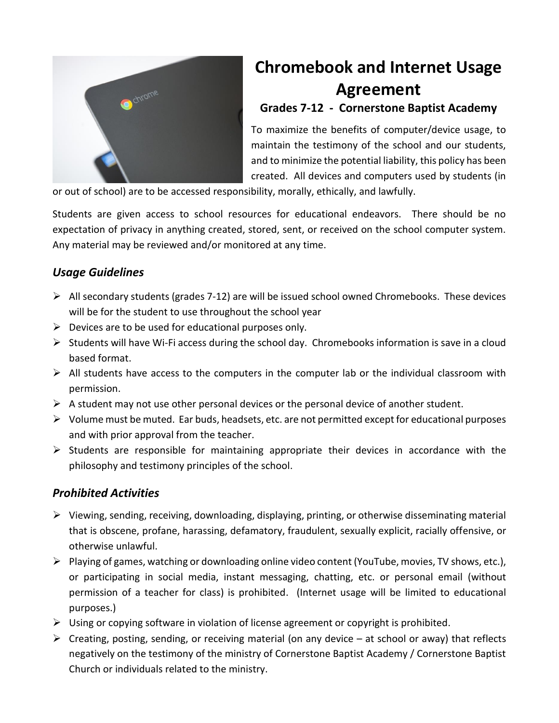

# **Chromebook and Internet Usage Agreement**

## **Grades 7-12 - Cornerstone Baptist Academy**

To maximize the benefits of computer/device usage, to maintain the testimony of the school and our students, and to minimize the potential liability, this policy has been created. All devices and computers used by students (in

or out of school) are to be accessed responsibility, morally, ethically, and lawfully.

Students are given access to school resources for educational endeavors. There should be no expectation of privacy in anything created, stored, sent, or received on the school computer system. Any material may be reviewed and/or monitored at any time.

## *Usage Guidelines*

- $\triangleright$  All secondary students (grades 7-12) are will be issued school owned Chromebooks. These devices will be for the student to use throughout the school year
- $\triangleright$  Devices are to be used for educational purposes only.
- $\triangleright$  Students will have Wi-Fi access during the school day. Chromebooks information is save in a cloud based format.
- $\triangleright$  All students have access to the computers in the computer lab or the individual classroom with permission.
- $\triangleright$  A student may not use other personal devices or the personal device of another student.
- $\triangleright$  Volume must be muted. Ear buds, headsets, etc. are not permitted except for educational purposes and with prior approval from the teacher.
- $\triangleright$  Students are responsible for maintaining appropriate their devices in accordance with the philosophy and testimony principles of the school.

## *Prohibited Activities*

- $\triangleright$  Viewing, sending, receiving, downloading, displaying, printing, or otherwise disseminating material that is obscene, profane, harassing, defamatory, fraudulent, sexually explicit, racially offensive, or otherwise unlawful.
- $\triangleright$  Playing of games, watching or downloading online video content (YouTube, movies, TV shows, etc.), or participating in social media, instant messaging, chatting, etc. or personal email (without permission of a teacher for class) is prohibited. (Internet usage will be limited to educational purposes.)
- $\triangleright$  Using or copying software in violation of license agreement or copyright is prohibited.
- $\triangleright$  Creating, posting, sending, or receiving material (on any device at school or away) that reflects negatively on the testimony of the ministry of Cornerstone Baptist Academy / Cornerstone Baptist Church or individuals related to the ministry.